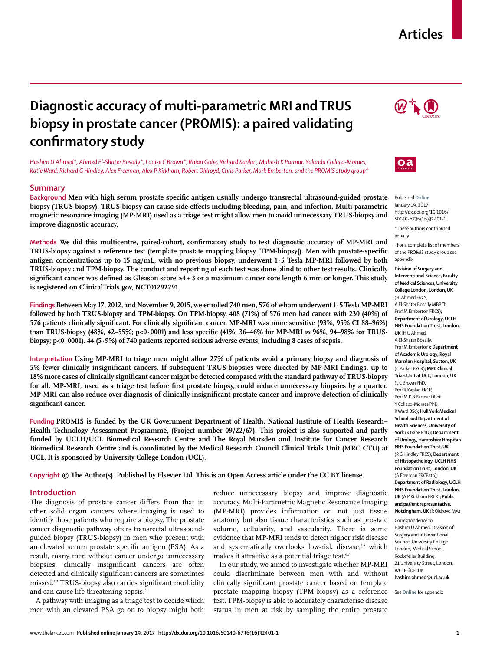## **Articles**

# **Diagnostic accuracy of multi-parametric MRI and TRUS biopsy in prostate cancer (PROMIS): a paired validating**  confirmatory study

*Hashim U Ahmed\*, Ahmed El-Shater Bosaily\*, Louise C Brown\*, Rhian Gabe, Richard Kaplan, Mahesh K Parmar, Yolanda Collaco-Moraes, Katie Ward, Richard G Hindley, Alex Freeman, Alex P Kirkham, Robert Oldroyd, Chris Parker, Mark Emberton, and the PROMIS study group†*

#### **Summary**

Background Men with high serum prostate specific antigen usually undergo transrectal ultrasound-guided prostate **biopsy (TRUS-biopsy). TRUS-biopsy can cause side-effects including bleeding, pain, and infection. Multi-parametric magnetic resonance imaging (MP-MRI) used as a triage test might allow men to avoid unnecessary TRUS-biopsy and improve diagnostic accuracy.**

Methods We did this multicentre, paired-cohort, confirmatory study to test diagnostic accuracy of MP-MRI and TRUS-biopsy against a reference test (template prostate mapping biopsy [TPM-biopsy]). Men with prostate-specific **antigen concentrations up to 15 ng/mL, with no previous biopsy, underwent 1·5 Tesla MP-MRI followed by both TRUS-biopsy and TPM-biopsy. The conduct and reporting of each test was done blind to other test results. Clinically**  significant cancer was defined as Gleason score ≥4 + 3 or a maximum cancer core length 6 mm or longer. This study **is registered on ClinicalTrials.gov, NCT01292291.**

**Findings Between May 17, 2012, and November 9, 2015, we enrolled 740 men, 576 of whom underwent 1·5 Tesla MP-MRI followed by both TRUS-biopsy and TPM-biopsy. On TPM-biopsy, 408 (71%) of 576 men had cancer with 230 (40%) of**  576 patients clinically significant. For clinically significant cancer, MP-MRI was more sensitive (93%, 95% CI 88–96%) than TRUS-biopsy (48%, 42–55%; p<0·0001) and less specific (41%, 36–46% for MP-MRI *vs* 96%, 94–98% for TRUS**biopsy; p<0·0001). 44 (5·9%) of 740 patients reported serious adverse events, including 8 cases of sepsis.**

**Interpretation Using MP-MRI to triage men might allow 27% of patients avoid a primary biopsy and diagnosis of**  5% fewer clinically insignificant cancers. If subsequent TRUS-biopsies were directed by MP-MRI findings, up to **18% more cases of clinically significant cancer might be detected compared with the standard pathway of TRUS-biopsy** for all. MP-MRI, used as a triage test before first prostate biopsy, could reduce unnecessary biopsies by a quarter. MP-MRI can also reduce over-diagnosis of clinically insignificant prostate cancer and improve detection of clinically significant cancer.

**Funding PROMIS is funded by the UK Government Department of Health, National Institute of Health Research– Health Technology Assessment Programme, (Project number 09/22/67). This project is also supported and partly funded by UCLH/UCL Biomedical Research Centre and The Royal Marsden and Institute for Cancer Research Biomedical Research Centre and is coordinated by the Medical Research Council Clinical Trials Unit (MRC CTU) at UCL. It is sponsored by University College London (UCL).**

**Copyright © The Author(s). Published by Elsevier Ltd. This is an Open Access article under the CC BY license.** 

#### **Introduction**

The diagnosis of prostate cancer differs from that in other solid organ cancers where imaging is used to identify those patients who require a biopsy. The prostate cancer diagnostic pathway offers transrectal ultrasoundguided biopsy (TRUS-biopsy) in men who present with an elevated serum prostate specific antigen (PSA). As a result, many men without cancer undergo unnecessary biopsies, clinically insignificant cancers are often detected and clinically significant cancers are sometimes missed.<sup>1,2</sup> TRUS-biopsy also carries significant morbidity and can cause life-threatening sepsis.<sup>3</sup>

A pathway with imaging as a triage test to decide which men with an elevated PSA go on to biopsy might both reduce unnecessary biopsy and improve diagnostic accuracy. Multi-Parametric Magnetic Resonance Imaging (MP-MRI) provides information on not just tissue anatomy but also tissue characteristics such as prostate volume, cellularity, and vascularity. There is some evidence that MP-MRI tends to detect higher risk disease and systematically overlooks low-risk disease,<sup>4,5</sup> which makes it attractive as a potential triage test.<sup>6,7</sup>

In our study, we aimed to investigate whether MP-MRI could discriminate between men with and without clinically significant prostate cancer based on template prostate mapping biopsy (TPM-biopsy) as a reference test. TPM-biopsy is able to accurately characterise disease status in men at risk by sampling the entire prostate





Published **Online** January 19, 2017 http://dx.doi.org/10.1016/ S0140-6736(16)32401-1 \*These authors contributed equally

†For a complete list of members of the PROMIS study group see appendix

**Division of Surgery and Interventional Science, Faculty of Medical Sciences, University College London, London, UK** (H Ahmed FRCS, A El-Shater Bosaily MBBCh, Prof M Emberton FRCS)**; Department of Urology, UCLH NHS Foundation Trust, London, UK** (H U Ahmed, A El-Shater Bosaily, Prof M Emberton)**; Department of Academic Urology, Royal Marsden Hospital, Sutton, UK**  (C Parker FRCR)**; MRC Clinical Trials Unit at UCL, London, UK**  (L C Brown PhD, Prof R Kaplan FRCP, Prof M K B Parmar DPhil, Y Collaco-Moraes PhD, K Ward BSc)**; Hull York Medical School and Department of Health Sciences, University of York** (R Gabe PhD)**; Department of Urology, Hampshire Hospitals NHS Foundation Trust, UK**  (R G Hindley FRCS)**; Department of Histopathology, UCLH NHS Foundation Trust, London, UK**  (A Freeman FRCPath)**; Department of Radiology, UCLH NHS Foundation Trust, London, UK** (A P Kirkham FRCR)**; Public and patient representative, Nottingham, UK** (R Oldroyd MA) Correspondence to: Hashim U Ahmed, Division of Surgery and Interventional Science, University College London, Medical School, Rockefeller Building, 21 University Street, London WC1E 6DE, UK

**hashim.ahmed@ucl.ac.uk**

See **Online** for appendix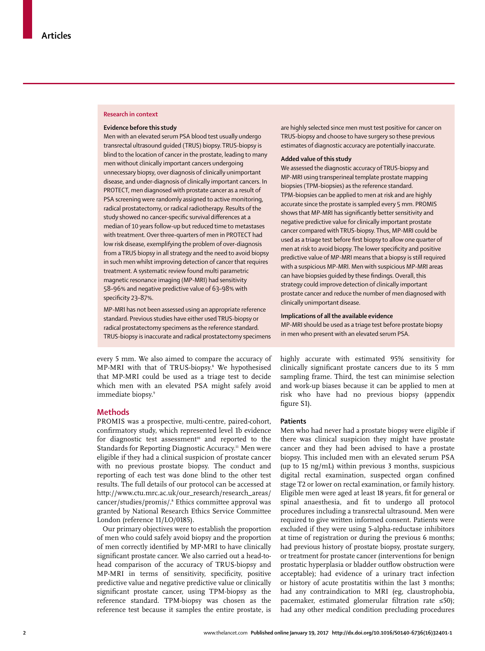#### **Research in context**

#### **Evidence before this study**

Men with an elevated serum PSA blood test usually undergo transrectal ultrasound guided (TRUS) biopsy. TRUS-biopsy is blind to the location of cancer in the prostate, leading to many men without clinically important cancers undergoing unnecessary biopsy, over diagnosis of clinically unimportant disease, and under-diagnosis of clinically important cancers. In PROTECT, men diagnosed with prostate cancer as a result of PSA screening were randomly assigned to active monitoring, radical prostatectomy, or radical radiotherapy. Results of the study showed no cancer-specific survival differences at a median of 10 years follow-up but reduced time to metastases with treatment. Over three-quarters of men in PROTECT had low risk disease, exemplifying the problem of over-diagnosis from a TRUS biopsy in all strategy and the need to avoid biopsy in such men whilst improving detection of cancer that requires treatment. A systematic review found multi parametric magnetic resonance imaging (MP-MRI) had sensitivity 58–96% and negative predictive value of 63–98% with specificity 23-87%.

MP-MRI has not been assessed using an appropriate reference standard. Previous studies have either used TRUS-biopsy or radical prostatectomy specimens as the reference standard. TRUS-biopsy is inaccurate and radical prostatectomy specimens

every 5 mm. We also aimed to compare the accuracy of MP-MRI with that of TRUS-biopsy.8 We hypothesised that MP-MRI could be used as a triage test to decide which men with an elevated PSA might safely avoid immediate biopsy.<sup>9</sup>

## **Methods**

PROMIS was a prospective, multi-centre, paired-cohort, confirmatory study, which represented level 1b evidence for diagnostic test assessment $10$  and reported to the Standards for Reporting Diagnostic Accuracy.<sup>11</sup> Men were eligible if they had a clinical suspicion of prostate cancer with no previous prostate biopsy. The conduct and reporting of each test was done blind to the other test results. The full details of our protocol can be accessed at http://www.ctu.mrc.ac.uk/our\_research/research\_areas/ cancer/studies/promis/.8 Ethics committee approval was granted by National Research Ethics Service Committee London (reference 11/LO/0185).

Our primary objectives were to establish the proportion of men who could safely avoid biopsy and the proportion of men correctly identified by MP-MRI to have clinically significant prostate cancer. We also carried out a head-tohead comparison of the accuracy of TRUS-biopsy and MP-MRI in terms of sensitivity, specificity, positive predictive value and negative predictive value or clinically significant prostate cancer, using TPM-biopsy as the reference standard. TPM-biopsy was chosen as the reference test because it samples the entire prostate, is are highly selected since men must test positive for cancer on TRUS-biopsy and choose to have surgery so these previous estimates of diagnostic accuracy are potentially inaccurate.

## **Added value of this study**

We assessed the diagnostic accuracy of TRUS-biopsy and MP-MRI using transperineal template prostate mapping biopsies (TPM-biopsies) as the reference standard. TPM-biopsies can be applied to men at risk and are highly accurate since the prostate is sampled every 5 mm. PROMIS shows that MP-MRI has significantly better sensitivity and negative predictive value for clinically important prostate cancer compared with TRUS-biopsy. Thus, MP-MRI could be used as a triage test before first biopsy to allow one quarter of men at risk to avoid biopsy. The lower specificity and positive predictive value of MP-MRI means that a biopsy is still required with a suspicious MP-MRI. Men with suspicious MP-MRI areas can have biopsies guided by these findings. Overall, this strategy could improve detection of clinically important prostate cancer and reduce the number of men diagnosed with clinically unimportant disease.

#### **Implications of all the available evidence**

MP-MRI should be used as a triage test before prostate biopsy in men who present with an elevated serum PSA.

highly accurate with estimated 95% sensitivity for clinically significant prostate cancers due to its 5 mm sampling frame. Third, the test can minimise selection and work-up biases because it can be applied to men at risk who have had no previous biopsy (appendix figure S1).

## **Patients**

Men who had never had a prostate biopsy were eligible if there was clinical suspicion they might have prostate cancer and they had been advised to have a prostate biopsy. This included men with an elevated serum PSA (up to 15 ng/mL) within previous 3 months, suspicious digital rectal examination, suspected organ confined stage T2 or lower on rectal examination, or family history. Eligible men were aged at least 18 years, fit for general or spinal anaesthesia, and fit to undergo all protocol procedures including a transrectal ultrasound. Men were required to give written informed consent. Patients were excluded if they were using 5-alpha-reductase inhibitors at time of registration or during the previous 6 months; had previous history of prostate biopsy, prostate surgery, or treatment for prostate cancer (interventions for benign prostatic hyperplasia or bladder outflow obstruction were acceptable); had evidence of a urinary tract infection or history of acute prostatitis within the last 3 months; had any contraindication to MRI (eg, claustrophobia, pacemaker, estimated glomerular filtration rate  $\leq 50$ ); had any other medical condition precluding procedures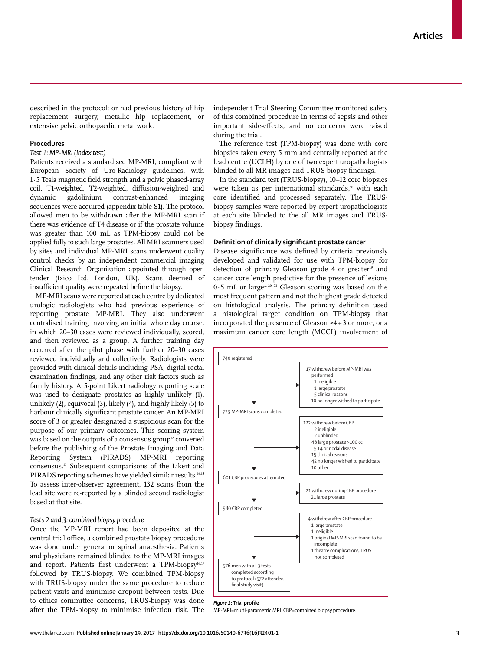described in the protocol; or had previous history of hip replacement surgery, metallic hip replacement, or extensive pelvic orthopaedic metal work.

#### **Procedures**

## *Test 1: MP-MRI (index test)*

Patients received a standardised MP-MRI, compliant with European Society of Uro-Radiology guidelines, with 1.5 Tesla magnetic field strength and a pelvic phased-array coil. T1-weighted, T2-weighted, diffusion-weighted and<br>dynamic gadolinium contrast-enhanced imaging dynamic gadolinium contrast-enhanced sequences were acquired (appendix table S1). The protocol allowed men to be withdrawn after the MP-MRI scan if there was evidence of T4 disease or if the prostate volume was greater than 100 mL as TPM-biopsy could not be applied fully to such large prostates. All MRI scanners used by sites and individual MP-MRI scans underwent quality control checks by an independent commercial imaging Clinical Research Organization appointed through open tender (Ixico Ltd, London, UK). Scans deemed of insufficient quality were repeated before the biopsy.

MP-MRI scans were reported at each centre by dedicated urologic radiologists who had previous experience of reporting prostate MP-MRI. They also underwent centralised training involving an initial whole day course, in which 20–30 cases were reviewed individually, scored, and then reviewed as a group. A further training day occurred after the pilot phase with further 20–30 cases reviewed individually and collectively. Radiologists were provided with clinical details including PSA, digital rectal examination findings, and any other risk factors such as family history. A 5-point Likert radiology reporting scale was used to designate prostates as highly unlikely (1), unlikely (2), equivocal (3), likely (4), and highly likely (5) to harbour clinically significant prostate cancer. An MP-MRI score of 3 or greater designated a suspicious scan for the purpose of our primary outcomes. This scoring system was based on the outputs of a consensus group<sup>12</sup> convened before the publishing of the Prostate Imaging and Data Reporting System (PIRADS) MP-MRI reporting consensus.13 Subsequent comparisons of the Likert and PIRADS reporting schemes have yielded similar results.14,15 To assess inter-observer agreement, 132 scans from the lead site were re-reported by a blinded second radiologist based at that site.

## *Tests 2 and 3: combined biopsy procedure*

Once the MP-MRI report had been deposited at the central trial office, a combined prostate biopsy procedure was done under general or spinal anaesthesia. Patients and physicians remained blinded to the MP-MRI images and report. Patients first underwent a TPM-biopsy<sup>16,17</sup> followed by TRUS-biopsy. We combined TPM-biopsy with TRUS-biopsy under the same procedure to reduce patient visits and minimise dropout between tests. Due to ethics committee concerns, TRUS-biopsy was done after the TPM-biopsy to minimise infection risk. The independent Trial Steering Committee monitored safety of this combined procedure in terms of sepsis and other important side-effects, and no concerns were raised during the trial.

The reference test (TPM-biopsy) was done with core biopsies taken every 5 mm and centrally reported at the lead centre (UCLH) by one of two expert uropathologists blinded to all MR images and TRUS-biopsy findings.

In the standard test (TRUS-biopsy), 10–12 core biopsies were taken as per international standards,<sup>18</sup> with each core identified and processed separately. The TRUSbiopsy samples were reported by expert uropathologists at each site blinded to the all MR images and TRUSbiopsy findings.

## Definition of clinically significant prostate cancer

Disease significance was defined by criteria previously developed and validated for use with TPM-biopsy for detection of primary Gleason grade 4 or greater<sup>19</sup> and cancer core length predictive for the presence of lesions 0·5 mL or larger.20–23 Gleason scoring was based on the most frequent pattern and not the highest grade detected on histological analysis. The primary definition used a histological target condition on TPM-biopsy that incorporated the presence of Gleason ≥4 + 3 or more, or a maximum cancer core length (MCCL) involvement of



*Figure* 1: Trial profile

MP-MRI=multi-parametric MRI. CBP=combined biopsy procedure.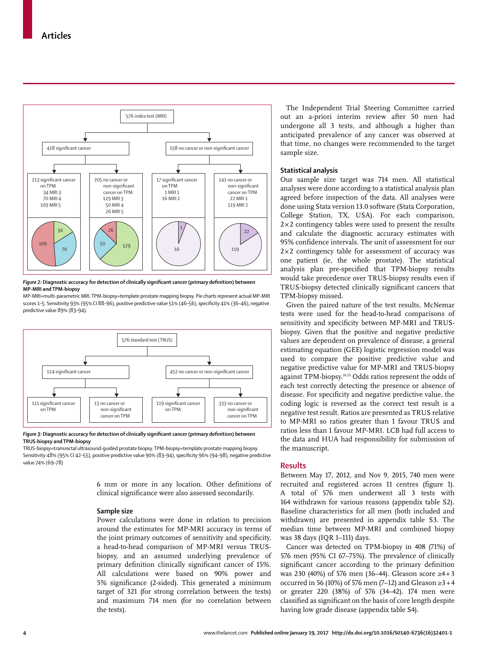

*Figure 2*: Diagnostic accuracy for detection of clinically significant cancer (primary definition) between **MP-MRI and TPM-biopsy**

MP-MRI=multi-parametric MRI. TPM-biopsy=template prostate mapping biopsy. Pie charts represent actual MP-MRI scores 1-5. Sensitivity 93% (95% CI 88-96), positive predictive value 51% (46-56), specificity 41% (36-46), negative predictive value 89% (83–94).



*Figure* 3: Diagnostic accuracy for detection of clinically significant cancer (primary definition) between **TRUS-biopsy and TPM-biopsy**

TRUS-biopsy=transrectal ultrasound-guided prostate biopsy. TPM-biopsy=template prostate mapping biopsy. Sensitivity 48% (95% CI 42-55), positive predictive value 90% (83-94), specificity 96% (94-98), negative predictive value 74% (69–78)

> 6 mm or more in any location. Other definitions of clinical significance were also assessed secondarily.

#### **Sample size**

Power calculations were done in relation to precision around the estimates for MP-MRI accuracy in terms of the joint primary outcomes of sensitivity and specificity, a head-to-head comparison of MP-MRI versus TRUSbiopsy, and an assumed underlying prevalence of primary definition clinically significant cancer of 15%. All calculations were based on 90% power and 5% significance (2-sided). This generated a minimum target of 321 (for strong correlation between the tests) and maximum 714 men (for no correlation between the tests).

The Independent Trial Steering Committee carried out an a-priori interim review after 50 men had undergone all 3 tests, and although a higher than anticipated prevalence of any cancer was observed at that time, no changes were recommended to the target sample size.

#### **Statistical analysis**

Our sample size target was 714 men. All statistical analyses were done according to a statistical analysis plan agreed before inspection of the data. All analyses were done using Stata version 13.0 software (Stata Corporation, College Station, TX, USA). For each comparison,  $2\times2$  contingency tables were used to present the results and calculate the diagnostic accuracy estimates with 95% confidence intervals. The unit of assessment for our  $2\times2$  contingency table for assessment of accuracy was one patient (ie, the whole prostate). The statistical analysis plan pre-specified that TPM-biopsy results would take precedence over TRUS-biopsy results even if TRUS-biopsy detected clinically significant cancers that TPM-biopsy missed.

Given the paired nature of the test results, McNemar tests were used for the head-to-head comparisons of sensitivity and specificity between MP-MRI and TRUSbiopsy. Given that the positive and negative predictive values are dependent on prevalence of disease, a general estimating equation (GEE) logistic regression model was used to compare the positive predictive value and negative predictive value for MP-MRI and TRUS-biopsy against TPM-biopsy.24,25 Odds ratios represent the odds of each test correctly detecting the presence or absence of disease. For specificity and negative predictive value, the coding logic is reversed as the correct test result is a negative test result. Ratios are presented as TRUS relative to MP-MRI so ratios greater than 1 favour TRUS and ratios less than 1 favour MP-MRI. LCB had full access to the data and HUA had responsibility for submission of the manuscript.

#### **Results**

Between May 17, 2012, and Nov 9, 2015, 740 men were recruited and registered across 11 centres (figure 1). A total of 576 men underwent all 3 tests with 164 withdrawn for various reasons (appendix table S2). Baseline characteristics for all men (both included and withdrawn) are presented in appendix table S3. The median time between MP-MRI and combined biopsy was 38 days (IQR 1–111) days.

Cancer was detected on TPM-biopsy in 408 (71%) of 576 men (95% CI 67–75%). The prevalence of clinically significant cancer according to the primary definition was 230 (40%) of 576 men (36–44). Gleason score ≥4 + 3 occurred in 56 (10%) of 576 men (7–12) and Gleason  $\geq$ 3 + 4 or greater 220 (38%) of 576 (34–42). 174 men were classified as significant on the basis of core length despite having low grade disease (appendix table S4).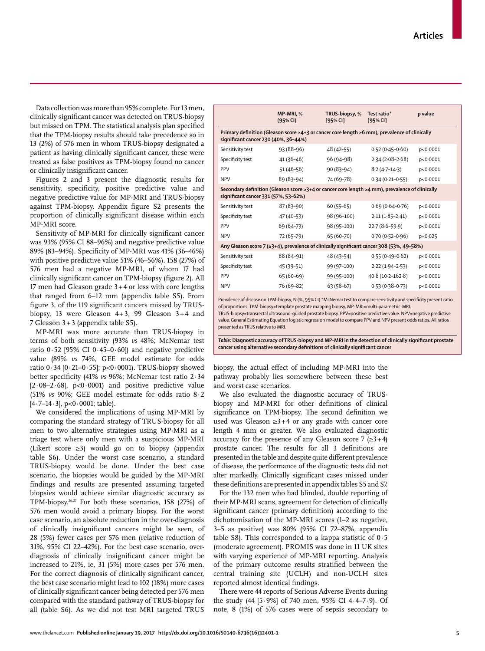Data collection was more than 95% complete. For 13 men, clinically significant cancer was detected on TRUS-biopsy but missed on TPM. The statistical analysis plan specified that the TPM-biopsy results should take precedence so in 13 (2%) of 576 men in whom TRUS-biopsy designated a patient as having clinically significant cancer, these were treated as false positives as TPM-biopsy found no cancer or clinically insignificant cancer.

Figures 2 and 3 present the diagnostic results for sensitivity, specificity, positive predictive value and negative predictive value for MP-MRI and TRUS-biopsy against TPM-biopsy. Appendix figure S2 presents the proportion of clinically significant disease within each MP-MRI score.

Sensitivity of MP-MRI for clinically significant cancer was 93% (95% CI 88–96%) and negative predictive value 89% (83-94%). Specificity of MP-MRI was 41% (36-46%) with positive predictive value 51% (46–56%). 158 (27%) of 576 men had a negative MP-MRI, of whom 17 had clinically significant cancer on TPM-biopsy (figure 2). All 17 men had Gleason grade 3 + 4 or less with core lengths that ranged from 6–12 mm (appendix table S5). From figure 3, of the 119 significant cancers missed by TRUSbiopsy, 13 were Gleason  $4+3$ , 99 Gleason  $3+4$  and 7 Gleason 3 + 3 (appendix table S5).

MP-MRI was more accurate than TRUS-biopsy in terms of both sensitivity (93% *vs* 48%; McNemar test ratio  $0.52$  [95% CI  $0.45-0.60$ ]) and negative predictive value (89% *vs* 74%, GEE model estimate for odds ratio 0·34 [0·21–0·55]; p<0·0001). TRUS-biopsy showed better specificity (41% *vs* 96%; McNemar test ratio 2.34  $[2.08-2.68]$ ,  $p<0.0001$ ) and positive predictive value (51% *vs* 90%; GEE model estimate for odds ratio 8·2  $[4.7-14.3]$ , p<0.0001; table).

We considered the implications of using MP-MRI by comparing the standard strategy of TRUS-biopsy for all men to two alternative strategies using MP-MRI as a triage test where only men with a suspicious MP-MRI (Likert score  $\geq 3$ ) would go on to biopsy (appendix table S6). Under the worst case scenario, a standard TRUS-biopsy would be done. Under the best case scenario, the biopsies would be guided by the MP-MRI findings and results are presented assuming targeted biopsies would achieve similar diagnostic accuracy as TPM-biopsy.26,27 For both these scenarios, 158 (27%) of 576 men would avoid a primary biopsy. For the worst case scenario, an absolute reduction in the over-diagnosis of clinically insignificant cancers might be seen, of 28 (5%) fewer cases per 576 men (relative reduction of 31%, 95% CI 22–42%). For the best case scenario, overdiagnosis of clinically insignificant cancer might be increased to 21%, ie, 31 (5%) more cases per 576 men. For the correct diagnosis of clinically significant cancer, the best case scenario might lead to 102 (18%) more cases of clinically significant cancer being detected per 576 men compared with the standard pathway of TRUS-biopsy for all (table S6). As we did not test MRI targeted TRUS

|                                                                                                                                         | MP-MRI, %<br>(95% CI) | TRUS-biopsy, %<br>[95% CI] | Test ratio*<br>$[95%$ CI] | p value   |
|-----------------------------------------------------------------------------------------------------------------------------------------|-----------------------|----------------------------|---------------------------|-----------|
| Primary definition (Gleason score ≥4+3 or cancer core length ≥6 mm), prevalence of clinically<br>significant cancer 230 (40%, 36-44%)   |                       |                            |                           |           |
| Sensitivity test                                                                                                                        | 93 (88-96)            | 48 (42-55)                 | $0.52(0.45 - 0.60)$       | p<0.0001  |
| Specificity test                                                                                                                        | 41 (36-46)            | 96 (94-98)                 | $2.34(2.08-2.68)$         | p<0.0001  |
| <b>PPV</b>                                                                                                                              | $51(46-56)$           | $90(83-94)$                | $8.2(4.7-14.3)$           | p<0.0001  |
| <b>NPV</b>                                                                                                                              | 89 (83-94)            | 74 (69-78)                 | $0.34(0.21 - 0.55)$       | p<0.0001  |
| Secondary definition (Gleason score ≥3+4 or cancer core length ≥4 mm), prevalence of clinically<br>significant cancer 331 (57%, 53-62%) |                       |                            |                           |           |
| Sensitivity test                                                                                                                        | $87(83-90)$           | $60(55-65)$                | $0.69(0.64 - 0.76)$       | p<0.0001  |
| Specificity test                                                                                                                        | 47 (40-53)            | 98 (96-100)                | $2.11(1.85 - 2.41)$       | p<0.0001  |
| <b>PPV</b>                                                                                                                              | 69 (64-73)            | 98 (95-100)                | $22.7(8.6 - 59.9)$        | p<0.0001  |
| <b>NPV</b>                                                                                                                              | 72 (65-79)            | 65 (60-70)                 | $0.70(0.52 - 0.96)$       | $p=0.025$ |
| Any Gleason score 7 (≥3+4), prevalence of clinically significant cancer 308 (53%, 49-58%)                                               |                       |                            |                           |           |
| Sensitivity test                                                                                                                        | 88 (84-91)            | 48 (43-54)                 | $0.55(0.49 - 0.62)$       | p<0.0001  |
| Specificity test                                                                                                                        | 45 (39-51)            | 99 (97-100)                | $2.22(1.94-2.53)$         | p<0.0001  |
| <b>PPV</b>                                                                                                                              | 65 (60-69)            | 99 (95-100)                | 40.8 (10.2-162.8)         | p<0.0001  |
| <b>NPV</b>                                                                                                                              | 76 (69-82)            | $63(58-67)$                | $0.53(0.38 - 0.73)$       | p<0.0001  |

Prevalence of disease on TPM-biopsy, N (%, 95% CI) \*McNemar test to compare sensitivity and specificity present ratio of proportions. TPM-biopsy=template prostate mapping biopsy. MP-MRI=multi-parametric-MRI. TRUS-biopsy=transrectal ultrasound-guided prostate biopsy. PPV=positive predictive value. NPV=negative predictive value. General Estimating Equation logistic regression model to compare PPV and NPV present odds ratios. All ratios presented as TRUS relative to MRI.

*Table*: Diagnostic accuracy of TRUS-biopsy and MP-MRI in the detection of clinically significant prostate cancer using alternative secondary definitions of clinically significant cancer

biopsy, the actual effect of including MP-MRI into the pathway probably lies somewhere between these best and worst case scenarios.

We also evaluated the diagnostic accuracy of TRUSbiopsy and MP-MRI for other definitions of clinical significance on TPM-biopsy. The second definition we used was Gleason ≥3+4 or any grade with cancer core length 4 mm or greater. We also evaluated diagnostic accuracy for the presence of any Gleason score 7  $(≥3+4)$ prostate cancer. The results for all 3 definitions are presented in the table and despite quite different prevalence of disease, the performance of the diagnostic tests did not alter markedly. Clinically significant cases missed under these definitions are presented in appendix tables S5 and S7.

For the 132 men who had blinded, double reporting of their MP-MRI scans, agreement for detection of clinically significant cancer (primary definition) according to the dichotomisation of the MP-MRI scores (1–2 as negative, 3–5 as positive) was 80% (95% CI 72–87%, appendix table S8). This corresponded to a kappa statistic of  $0.5$ (moderate agreement). PROMIS was done in 11 UK sites with varying experience of MP-MRI reporting. Analysis of the primary outcome results stratified between the central training site (UCLH) and non-UCLH sites reported almost identical findings.

There were 44 reports of Serious Adverse Events during the study (44 [5·9%] of 740 men, 95% CI 4·4–7·9). Of note, 8 (1%) of 576 cases were of sepsis secondary to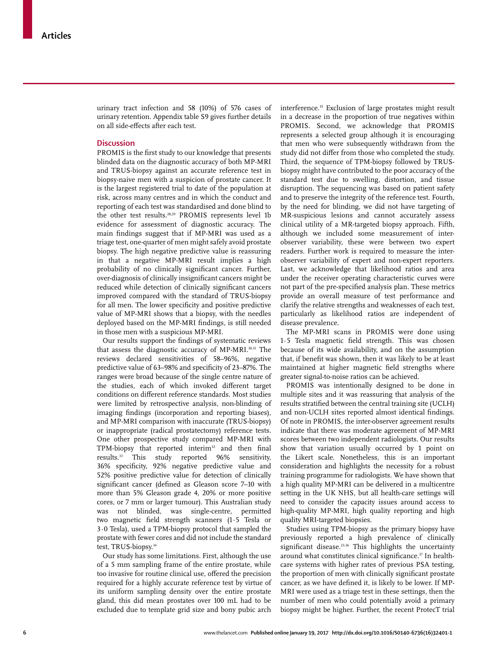urinary tract infection and 58 (10%) of 576 cases of urinary retention. Appendix table S9 gives further details on all side-effects after each test.

#### **Discussion**

PROMIS is the first study to our knowledge that presents blinded data on the diagnostic accuracy of both MP-MRI and TRUS-biopsy against an accurate reference test in biopsy-naive men with a suspicion of prostate cancer. It is the largest registered trial to date of the population at risk, across many centres and in which the conduct and reporting of each test was standardised and done blind to the other test results.28,29 PROMIS represents level 1b evidence for assessment of diagnostic accuracy. The main findings suggest that if MP-MRI was used as a triage test, one-quarter of men might safely avoid prostate biopsy. The high negative predictive value is reassuring in that a negative MP-MRI result implies a high probability of no clinically significant cancer. Further, over-diagnosis of clinically insignificant cancers might be reduced while detection of clinically significant cancers improved compared with the standard of TRUS-biopsy for all men. The lower specificity and positive predictive value of MP-MRI shows that a biopsy, with the needles deployed based on the MP-MRI findings, is still needed in those men with a suspicious MP-MRI.

Our results support the findings of systematic reviews that assess the diagnostic accuracy of MP-MRI.30,31 The reviews declared sensitivities of 58–96%, negative predictive value of 63-98% and specificity of 23-87%. The ranges were broad because of the single centre nature of the studies, each of which invoked different target conditions on different reference standards. Most studies were limited by retrospective analysis, non-blinding of imaging findings (incorporation and reporting biases), and MP-MRI comparison with inaccurate (TRUS-biopsy) or inappropriate (radical prostatectomy) reference tests. One other prospective study compared MP-MRI with  $TPM$ -biopsy that reported interim<sup>32</sup> and then final results.33 This study reported 96% sensitivity, 36% specificity, 92% negative predictive value and 52% positive predictive value for detection of clinically significant cancer (defined as Gleason score 7–10 with more than 5% Gleason grade 4, 20% or more positive cores, or 7 mm or larger tumour). This Australian study was not blinded, was single-centre, permitted two magnetic field strength scanners (1.5 Tesla or 3·0 Tesla), used a TPM-biopsy protocol that sampled the prostate with fewer cores and did not include the standard test, TRUS-biopsy.34

Our study has some limitations. First, although the use of a 5 mm sampling frame of the entire prostate, while too invasive for routine clinical use, offered the precision required for a highly accurate reference test by virtue of its uniform sampling density over the entire prostate gland, this did mean prostates over 100 mL had to be excluded due to template grid size and bony pubic arch interference.<sup>35</sup> Exclusion of large prostates might result in a decrease in the proportion of true negatives within PROMIS. Second, we acknowledge that PROMIS represents a selected group although it is encouraging that men who were subsequently withdrawn from the study did not differ from those who completed the study. Third, the sequence of TPM-biopsy followed by TRUSbiopsy might have contributed to the poor accuracy of the standard test due to swelling, distortion, and tissue disruption. The sequencing was based on patient safety and to preserve the integrity of the reference test. Fourth, by the need for blinding, we did not have targeting of MR-suspicious lesions and cannot accurately assess clinical utility of a MR-targeted biopsy approach. Fifth, although we included some measurement of interobserver variability, these were between two expert readers. Further work is required to measure the interobserver variability of expert and non-expert reporters. Last, we acknowledge that likelihood ratios and area under the receiver operating characteristic curves were not part of the pre-specified analysis plan. These metrics provide an overall measure of test performance and clarify the relative strengths and weaknesses of each test, particularly as likelihood ratios are independent of disease prevalence.

The MP-MRI scans in PROMIS were done using 1.5 Tesla magnetic field strength. This was chosen because of its wide availability, and on the assumption that, if benefit was shown, then it was likely to be at least maintained at higher magnetic field strengths where greater signal-to-noise ratios can be achieved.

PROMIS was intentionally designed to be done in multiple sites and it was reassuring that analysis of the results stratified between the central training site (UCLH) and non-UCLH sites reported almost identical findings. Of note in PROMIS, the inter-observer agreement results indicate that there was moderate agreement of MP-MRI scores between two independent radiologists. Our results show that variation usually occurred by 1 point on the Likert scale. Nonetheless, this is an important consideration and highlights the necessity for a robust training programme for radiologists. We have shown that a high quality MP-MRI can be delivered in a multicentre setting in the UK NHS, but all health-care settings will need to consider the capacity issues around access to high-quality MP-MRI, high quality reporting and high quality MRI-targeted biopsies.

Studies using TPM-biopsy as the primary biopsy have previously reported a high prevalence of clinically significant disease.<sup>23,36</sup> This highlights the uncertainty around what constitutes clinical significance.<sup>37</sup> In healthcare systems with higher rates of previous PSA testing, the proportion of men with clinically significant prostate cancer, as we have defined it, is likely to be lower. If MP-MRI were used as a triage test in these settings, then the number of men who could potentially avoid a primary biopsy might be higher. Further, the recent ProtecT trial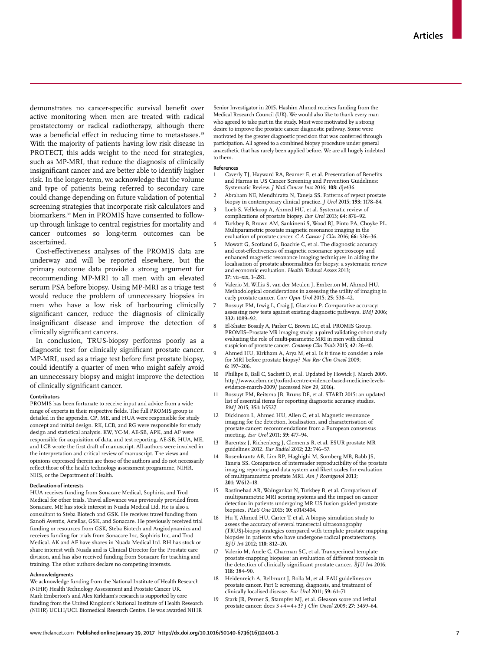demonstrates no cancer-specific survival benefit over active monitoring when men are treated with radical prostatectomy or radical radiotherapy, although there was a beneficial effect in reducing time to metastases.<sup>38</sup> With the majority of patients having low risk disease in PROTECT, this adds weight to the need for strategies, such as MP-MRI, that reduce the diagnosis of clinically insignificant cancer and are better able to identify higher risk. In the longer-term, we acknowledge that the volume and type of patients being referred to secondary care could change depending on future validation of potential screening strategies that incorporate risk calculators and biomarkers.<sup>39</sup> Men in PROMIS have consented to followup through linkage to central registries for mortality and cancer outcomes so long-term outcomes can be ascertained.

Cost-effectiveness analyses of the PROMIS data are underway and will be reported elsewhere, but the primary outcome data provide a strong argument for recommending MP-MRI to all men with an elevated serum PSA before biopsy. Using MP-MRI as a triage test would reduce the problem of unnecessary biopsies in men who have a low risk of harbouring clinically significant cancer, reduce the diagnosis of clinically insignificant disease and improve the detection of clinically significant cancers.

In conclusion, TRUS-biopsy performs poorly as a diagnostic test for clinically significant prostate cancer. MP-MRI, used as a triage test before first prostate biopsy, could identify a quarter of men who might safely avoid an unnecessary biopsy and might improve the detection of clinically significant cancer.

#### **Contributors**

PROMIS has been fortunate to receive input and advice from a wide range of experts in their respective fields. The full PROMIS group is detailed in the appendix. CP, ME, and HUA were responsible for study concept and initial design. RK, LCB, and RG were responsible for study design and statistical analysis. KW, YC-M, AE-SB, APK, and AF were responsible for acquisition of data, and test reporting. AE-SB, HUA, ME, and LCB wrote the first draft of manuscript. All authors were involved in the interpretation and critical review of manuscript. The views and opinions expressed therein are those of the authors and do not necessarily reflect those of the health technology assessment programme, NIHR, NHS, or the Department of Health.

#### **Declaration of interests**

HUA receives funding from Sonacare Medical, Sophiris, and Trod Medical for other trials. Travel allowance was previously provided from Sonacare. ME has stock interest in Nuada Medical Ltd. He is also a consultant to Steba Biotech and GSK. He receives travel funding from Sanofi Aventis, Astellas, GSK, and Sonacare**.** He previously received trial funding or resources from GSK, Steba Biotech and Angiodynamics and receives funding for trials from Sonacare Inc, Sophiris Inc, and Trod Medical. AK and AF have shares in Nuada Medical Ltd. RH has stock or share interest with Nuada and is Clinical Director for the Prostate care division, and has also received funding from Sonacare for teaching and training. The other authors declare no competing interests.

#### **Acknowledgments**

We acknowledge funding from the National Institute of Health Research (NIHR) Health Technology Assessment and Prostate Cancer UK. Mark Emberton's and Alex Kirkham's research is supported by core funding from the United Kingdom's National Institute of Health Research (NIHR) UCLH/UCL Biomedical Research Centre. He was awarded NIHR Senior Investigator in 2015. Hashim Ahmed receives funding from the Medical Research Council (UK). We would also like to thank every man who agreed to take part in the study. Most were motivated by a strong desire to improve the prostate cancer diagnostic pathway. Some were motivated by the greater diagnostic precision that was conferred through participation. All agreed to a combined biopsy procedure under general anaesthetic that has rarely been applied before. We are all hugely indebted to them.

#### **References**

- Caverly TJ, Hayward RA, Reamer E, et al. Presentation of Benefits and Harms in US Cancer Screening and Prevention Guidelines: Systematic Review. *J Natl Cancer Inst* 2016; **108:** djv436.
- 2 Abraham NE, Mendhiratta N, Taneja SS. Patterns of repeat prostate biopsy in contemporary clinical practice. *J Urol* 2015; **193:** 1178–84.
- Loeb S, Vellekoop A, Ahmed HU, et al. Systematic review of complications of prostate biopsy. *Eur Urol* 2013; **64:** 876–92.
- 4 Turkbey B, Brown AM, Sankineni S, Wood BJ, Pinto PA, Choyke PL. Multiparametric prostate magnetic resonance imaging in the evaluation of prostate cancer. *C A Cancer J Clin* 2016; **66:** 326–36.
- 5 Mowatt G, Scotland G, Boachie C, et al. The diagnostic accuracy and cost-effectiveness of magnetic resonance spectroscopy and enhanced magnetic resonance imaging techniques in aiding the localisation of prostate abnormalities for biopsy: a systematic review and economic evaluation. *Health Technol Assess* 2013; **17:** vii–xix, 1–281.
- 6 Valerio M, Willis S, van der Meulen J, Emberton M, Ahmed HU. Methodological considerations in assessing the utility of imaging in early prostate cancer. *Curr Opin Urol* 2015; **25:** 536–42.
- Bossuyt PM, Irwig L, Craig J, Glasziou P. Comparative accuracy: assessing new tests against existing diagnostic pathways. *BMJ* 2006; **332:** 1089–92.
- El-Shater Bosaily A, Parker C, Brown LC, et al. PROMIS Group. PROMIS–Prostate MR imaging study: a paired validating cohort study evaluating the role of multi-parametric MRI in men with clinical suspicion of prostate cancer. *Contemp Clin Trials* 2015; **42:** 26–40.
- Ahmed HU, Kirkham A, Arya M, et al. Is it time to consider a role for MRI before prostate biopsy? *Nat Rev Clin Oncol* 2009; **6:** 197–206.
- 10 Phillips B, Ball C, Sackett D, et al. Updated by Howick J. March 2009. http://www.cebm.net/oxford-centre-evidence-based-medicine-levelsevidence-march-2009/ (accessed Nov 29, 2016).
- 11 Bossuyt PM, Reitsma JB, Bruns DE, et al. STARD 2015: an updated list of essential items for reporting diagnostic accuracy studies. *BMJ* 2015; **351:** h5527.
- 12 Dickinson L, Ahmed HU, Allen C, et al. Magnetic resonance imaging for the detection, localisation, and characterisation of prostate cancer: recommendations from a European consensus meeting. *Eur Urol* 2011; **59:** 477–94.
- Barentsz J, Richenberg J, Clements R, et al. ESUR prostate MR guidelines 2012. *Eur Radiol* 2012; **22:** 746–57.
- 14 Rosenkrantz AB, Lim RP, Haghighi M, Somberg MB, Babb JS, Taneja SS. Comparison of interreader reproducibility of the prostate imaging reporting and data system and likert scales for evaluation of multiparametric prostate MRI. *Am J Roentgenol* 2013; **201:** W612–18.
- Rastinehad AR, Waingankar N, Turkbey B, et al. Comparison of multiparametric MRI scoring systems and the impact on cancer detection in patients undergoing MR US fusion guided prostate biopsies. *PLoS One* 2015; **10:** e0143404.
- 16 Hu Y, Ahmed HU, Carter T, et al. A biopsy simulation study to assess the accuracy of several transrectal ultrasonography (TRUS)-biopsy strategies compared with template prostate mapping biopsies in patients who have undergone radical prostatectomy. *BJU Int* 2012; **110:** 812–20.
- Valerio M, Anele C, Charman SC, et al. Transperineal template prostate-mapping biopsies: an evaluation of different protocols in the detection of clinically significant prostate cancer. **B**JU Int 2016; **118:** 384–90.
- Heidenreich A, Bellmunt J, Bolla M, et al. EAU guidelines on prostate cancer. Part 1: screening, diagnosis, and treatment of clinically localised disease. *Eur Urol* 2011; **59:** 61–71
- 19 Stark JR, Perner S, Stampfer MJ, et al. Gleason score and lethal prostate cancer: does 3 + 4 = 4 + 3? *J Clin Oncol* 2009; **27:** 3459–64.